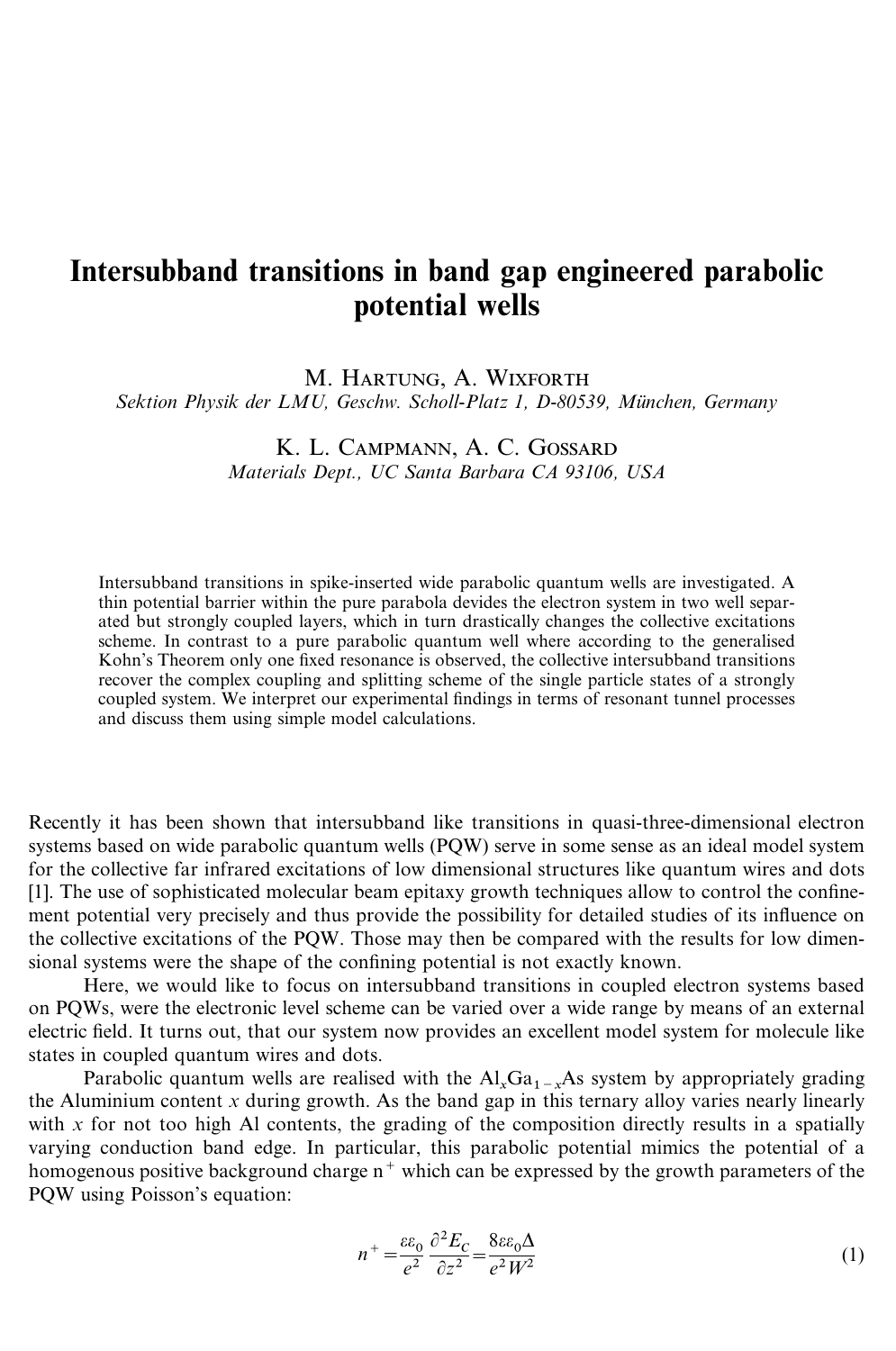## Intersubband transitions in band gap engineered parabolic potential wells

M. HARTUNG, A. WIXFORTH

*Sektion Physik der LMU, Geschw. Scholl-Platz 1, D-80539, Mu¨nchen, Germany*

K. L. CAMPMANN, A. C. GOSSARD *Materials Dept., UC Santa Barbara CA 93106, USA*

Intersubband transitions in spike-inserted wide parabolic quantum wells are investigated. A thin potential barrier within the pure parabola devides the electron system in two well separated but strongly coupled layers, which in turn drastically changes the collective excitations scheme. In contrast to a pure parabolic quantum well where according to the generalised Kohn's Theorem only one fixed resonance is observed, the collective intersubband transitions recover the complex coupling and splitting scheme of the single particle states of a strongly coupled system. We interpret our experimental findings in terms of resonant tunnel processes and discuss them using simple model calculations.

Recently it has been shown that intersubband like transitions in quasi-three-dimensional electron systems based on wide parabolic quantum wells (PQW) serve in some sense as an ideal model system for the collective far infrared excitations of low dimensional structures like quantum wires and dots [1]. The use of sophisticated molecular beam epitaxy growth techniques allow to control the confinement potential very precisely and thus provide the possibility for detailed studies of its influence on the collective excitations of the PQW. Those may then be compared with the results for low dimensional systems were the shape of the confining potential is not exactly known.

Here, we would like to focus on intersubband transitions in coupled electron systems based on PQWs, were the electronic level scheme can be varied over a wide range by means of an external electric field. It turns out, that our system now provides an excellent model system for molecule like states in coupled quantum wires and dots.

Parabolic quantum wells are realised with the  $Al_xGa_{1-x}As$  system by appropriately grading the Aluminium content *x* during growth. As the band gap in this ternary alloy varies nearly linearly with  $x$  for not too high Al contents, the grading of the composition directly results in a spatially varying conduction band edge. In particular, this parabolic potential mimics the potential of a homogenous positive background charge  $n^+$  which can be expressed by the growth parameters of the PQW using Poisson's equation:

$$
n^{+} = \frac{\varepsilon \varepsilon_0}{e^2} \frac{\partial^2 E_C}{\partial z^2} = \frac{8\varepsilon \varepsilon_0 \Delta}{e^2 W^2}
$$
 (1)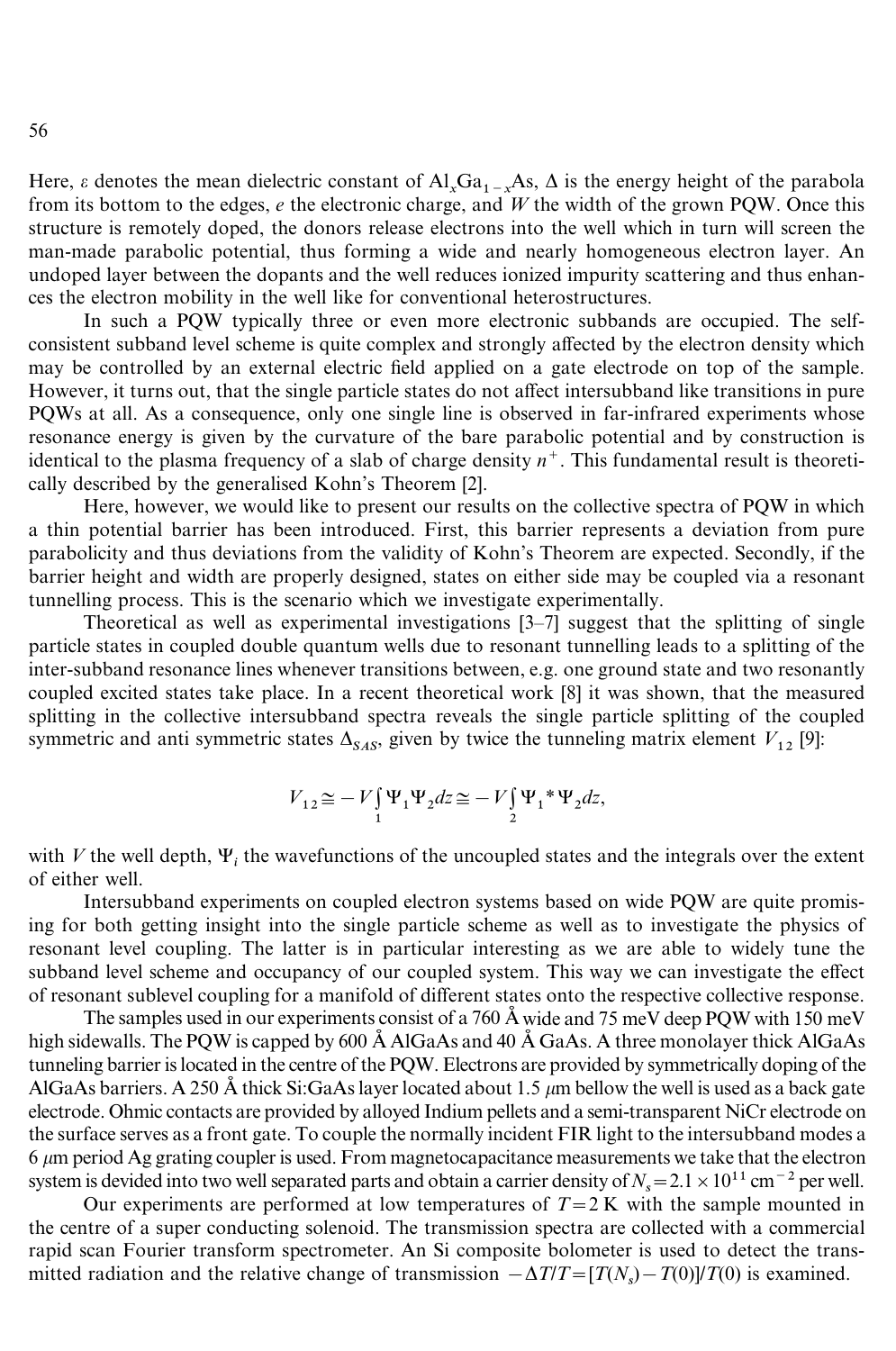Here,  $\varepsilon$  denotes the mean dielectric constant of  $Al_xGa_{1-x}As$ ,  $\Delta$  is the energy height of the parabola from its bottom to the edges, *e* the electronic charge, and *W* the width of the grown PQW. Once this structure is remotely doped, the donors release electrons into the well which in turn will screen the man-made parabolic potential, thus forming a wide and nearly homogeneous electron layer. An undoped layer between the dopants and the well reduces ionized impurity scattering and thus enhances the electron mobility in the well like for conventional heterostructures.

In such a PQW typically three or even more electronic subbands are occupied. The selfconsistent subband level scheme is quite complex and strongly affected by the electron density which may be controlled by an external electric field applied on a gate electrode on top of the sample. However, it turns out, that the single particle states do not affect intersubband like transitions in pure PQWs at all. As a consequence, only one single line is observed in far-infrared experiments whose resonance energy is given by the curvature of the bare parabolic potential and by construction is identical to the plasma frequency of a slab of charge density  $n^+$ . This fundamental result is theoretically described by the generalised Kohn's Theorem [2].

Here, however, we would like to present our results on the collective spectra of PQW in which a thin potential barrier has been introduced. First, this barrier represents a deviation from pure parabolicity and thus deviations from the validity of Kohn's Theorem are expected. Secondly, if the barrier height and width are properly designed, states on either side may be coupled via a resonant tunnelling process. This is the scenario which we investigate experimentally.

Theoretical as well as experimental investigations [3–7] suggest that the splitting of single particle states in coupled double quantum wells due to resonant tunnelling leads to a splitting of the inter-subband resonance lines whenever transitions between, e.g. one ground state and two resonantly coupled excited states take place. In a recent theoretical work [8] it was shown, that the measured splitting in the collective intersubband spectra reveals the single particle splitting of the coupled symmetric and anti symmetric states  $\Delta_{SAS}$ , given by twice the tunneling matrix element  $V_{12}$  [9]:

$$
V_{12} \approx -V \int_{1}^{\cdot} \Psi_1 \Psi_2 dz \approx -V \int_{2}^{\cdot} \Psi_1 * \Psi_2 dz,
$$

with  $V$  the well depth,  $\Psi_i$  the wavefunctions of the uncoupled states and the integrals over the extent of either well.

Intersubband experiments on coupled electron systems based on wide PQW are quite promising for both getting insight into the single particle scheme as well as to investigate the physics of resonant level coupling. The latter is in particular interesting as we are able to widely tune the subband level scheme and occupancy of our coupled system. This way we can investigate the effect of resonant sublevel coupling for a manifold of different states onto the respective collective response.

The samples used in our experiments consist of a 760 Å wide and 75 meV deep PQW with 150 meV high sidewalls. The PQW is capped by 600  $\AA$  AlGaAs and 40  $\AA$  GaAs. A three monolayer thick AlGaAs tunneling barrier is located in the centre of the PQW. Electrons are provided by symmetrically doping of the AlGaAs barriers. A 250 Å thick Si:GaAs layer located about 1.5  $\mu$ m bellow the well is used as a back gate electrode. Ohmic contacts are provided by alloyed Indium pellets and a semi-transparent NiCr electrode on the surface serves as a front gate. To couple the normally incident FIR light to the intersubband modes a  $6 \mu m$  period Ag grating coupler is used. From magnetocapacitance measurements we take that the electron system is devided into two well separated parts and obtain a carrier density of  $N_s = 2.1 \times 10^{11}$  cm<sup>-2</sup> per well.

Our experiments are performed at low temperatures of  $T = 2 K$  with the sample mounted in the centre of a super conducting solenoid. The transmission spectra are collected with a commercial rapid scan Fourier transform spectrometer. An Si composite bolometer is used to detect the transmitted radiation and the relative change of transmission  $-\Delta T/T = [T(N_s) - T(0)]/T(0)$  is examined.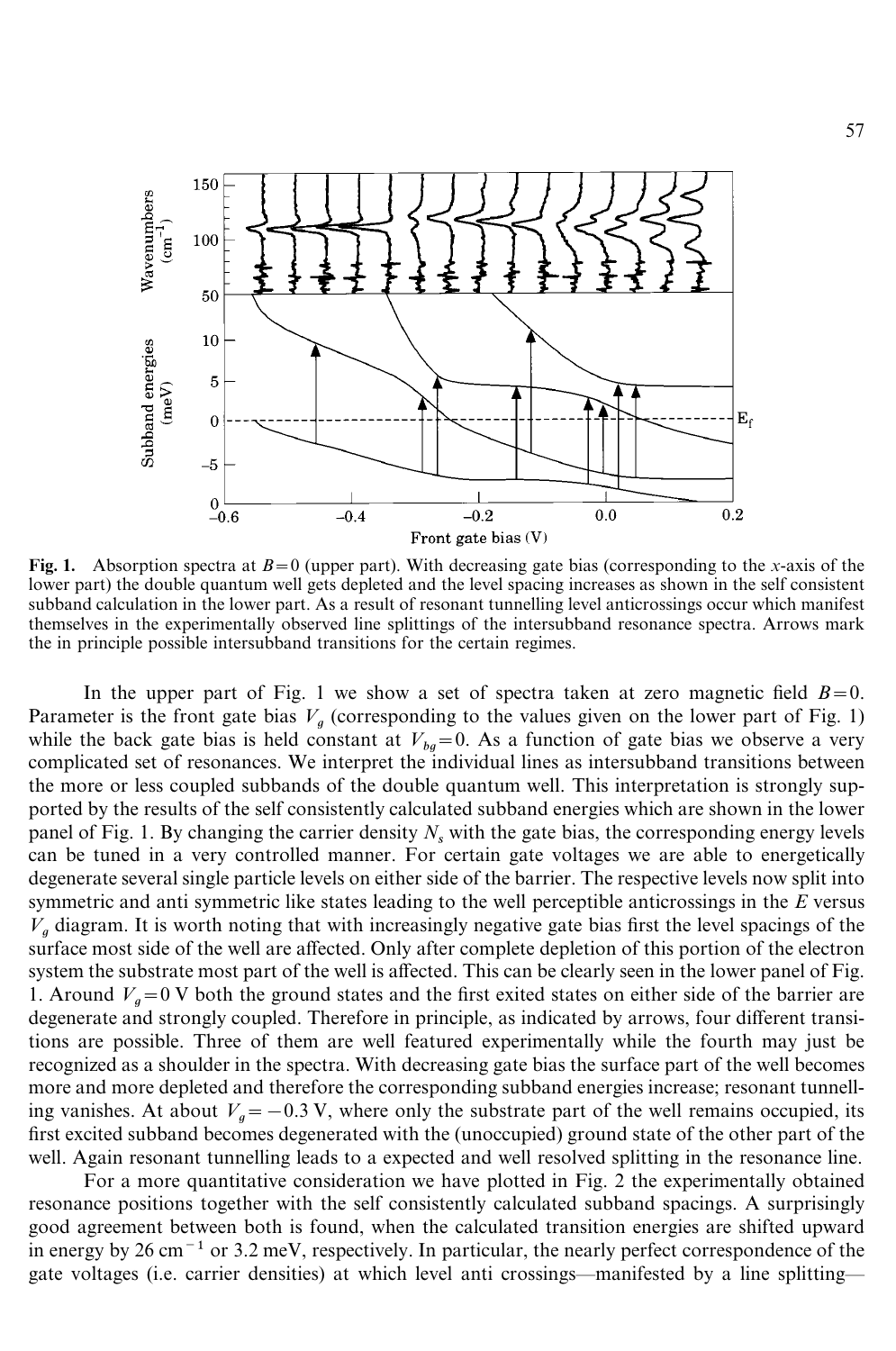

Fig. 1. Absorption spectra at  $B=0$  (upper part). With decreasing gate bias (corresponding to the *x*-axis of the lower part) the double quantum well gets depleted and the level spacing increases as shown in the self consistent subband calculation in the lower part. As a result of resonant tunnelling level anticrossings occur which manifest themselves in the experimentally observed line splittings of the intersubband resonance spectra. Arrows mark the in principle possible intersubband transitions for the certain regimes.

In the upper part of Fig. 1 we show a set of spectra taken at zero magnetic field  $B=0$ . Parameter is the front gate bias  $V_a$  (corresponding to the values given on the lower part of Fig. 1) while the back gate bias is held constant at  $V_{ba} = 0$ . As a function of gate bias we observe a very complicated set of resonances. We interpret the individual lines as intersubband transitions between the more or less coupled subbands of the double quantum well. This interpretation is strongly supported by the results of the self consistently calculated subband energies which are shown in the lower panel of Fig. 1. By changing the carrier density  $N_s$  with the gate bias, the corresponding energy levels can be tuned in a very controlled manner. For certain gate voltages we are able to energetically degenerate several single particle levels on either side of the barrier. The respective levels now split into symmetric and anti symmetric like states leading to the well perceptible anticrossings in the *E* versus  $V_a$  diagram. It is worth noting that with increasingly negative gate bias first the level spacings of the surface most side of the well are affected. Only after complete depletion of this portion of the electron system the substrate most part of the well is affected. This can be clearly seen in the lower panel of Fig. 1. Around  $V_a = 0$  V both the ground states and the first exited states on either side of the barrier are degenerate and strongly coupled. Therefore in principle, as indicated by arrows, four different transitions are possible. Three of them are well featured experimentally while the fourth may just be recognized as a shoulder in the spectra. With decreasing gate bias the surface part of the well becomes more and more depleted and therefore the corresponding subband energies increase; resonant tunnelling vanishes. At about  $V_a = -0.3$  V, where only the substrate part of the well remains occupied, its first excited subband becomes degenerated with the (unoccupied) ground state of the other part of the well. Again resonant tunnelling leads to a expected and well resolved splitting in the resonance line.

For a more quantitative consideration we have plotted in Fig. 2 the experimentally obtained resonance positions together with the self consistently calculated subband spacings. A surprisingly good agreement between both is found, when the calculated transition energies are shifted upward in energy by 26 cm<sup> $-1$ </sup> or 3.2 meV, respectively. In particular, the nearly perfect correspondence of the gate voltages (i.e. carrier densities) at which level anti crossings—manifested by a line splitting—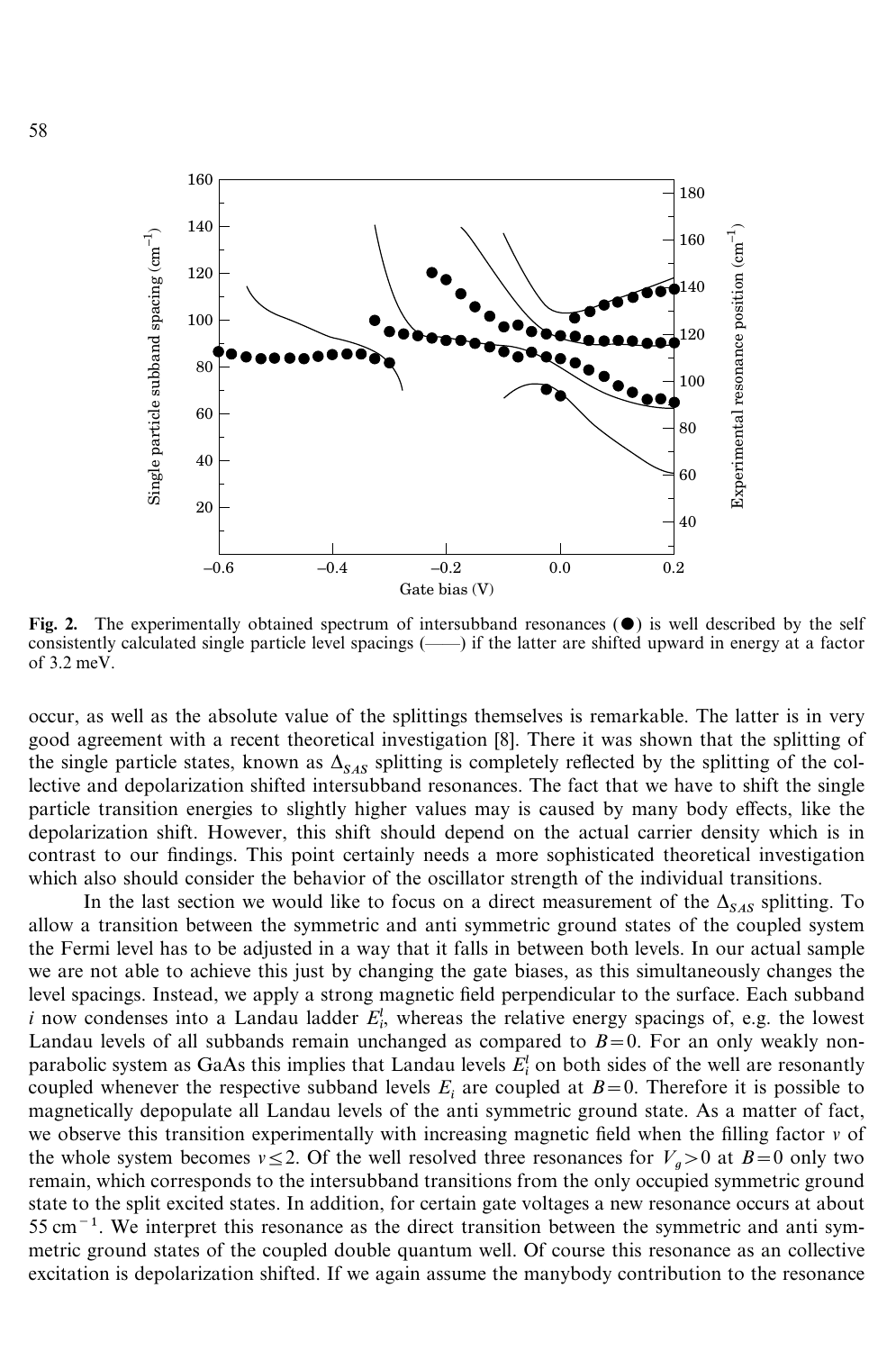

Fig. 2. The experimentally obtained spectrum of intersubband resonances  $(\bullet)$  is well described by the self consistently calculated single particle level spacings (——) if the latter are shifted upward in energy at a factor of 3.2 meV.

occur, as well as the absolute value of the splittings themselves is remarkable. The latter is in very good agreement with a recent theoretical investigation [8]. There it was shown that the splitting of the single particle states, known as  $\Delta_{SAS}$  splitting is completely reflected by the splitting of the col lective and depolarization shifted intersubband resonances. The fact that we have to shift the single particle transition energies to slightly higher values may is caused by many body effects, like the depolarization shift. However, this shift should depend on the actual carrier density which is in contrast to our findings. This point certainly needs a more sophisticated theoretical investigation which also should consider the behavior of the oscillator strength of the individual transitions.

In the last section we would like to focus on a direct measurement of the  $\Delta_{SAS}$  splitting. To allow a transition between the symmetric and anti symmetric ground states of the coupled system the Fermi level has to be adjusted in a way that it falls in between both levels. In our actual sample we are not able to achieve this just by changing the gate biases, as this simultaneously changes the level spacings. Instead, we apply a strong magnetic field perpendicular to the surface. Each subband *i* now condenses into a Landau ladder  $E_i^l$ , whereas the relative energy spacings of, e.g. the lowest *i* now condenses into a Landau ladder  $E_i^l$ , whereas the relative energy spacings of, e.g. the lowest Landau levels of all subbands remain unchanged as compared to  $B=0$ . For an only weakly non-Landau levels of an subbands felliam unchanged as compared to  $B=0$ . For an only weakly non-<br>parabolic system as GaAs this implies that Landau levels  $E_i^l$  on both sides of the well are resonantly coupled whenever the respective subband levels  $E_i$  are coupled at  $B=0$ . Therefore it is possible to magnetically depopulate all Landau levels of the anti symmetric ground state. As a matter of fact, we observe this transition experimentally with increasing magnetic field when the filling factor *v* of the whole system becomes  $v \le 2$ . Of the well resolved three resonances for  $V_a > 0$  at  $B = 0$  only two remain, which corresponds to the intersubband transitions from the only occupied symmetric ground state to the split excited states. In addition, for certain gate voltages a new resonance occurs at about  $55 \text{ cm}^{-1}$ . We interpret this resonance as the direct transition between the symmetric and anti symmetric ground states of the coupled double quantum well. Of course this resonance as an collective excitation is depolarization shifted. If we again assume the manybody contribution to the resonance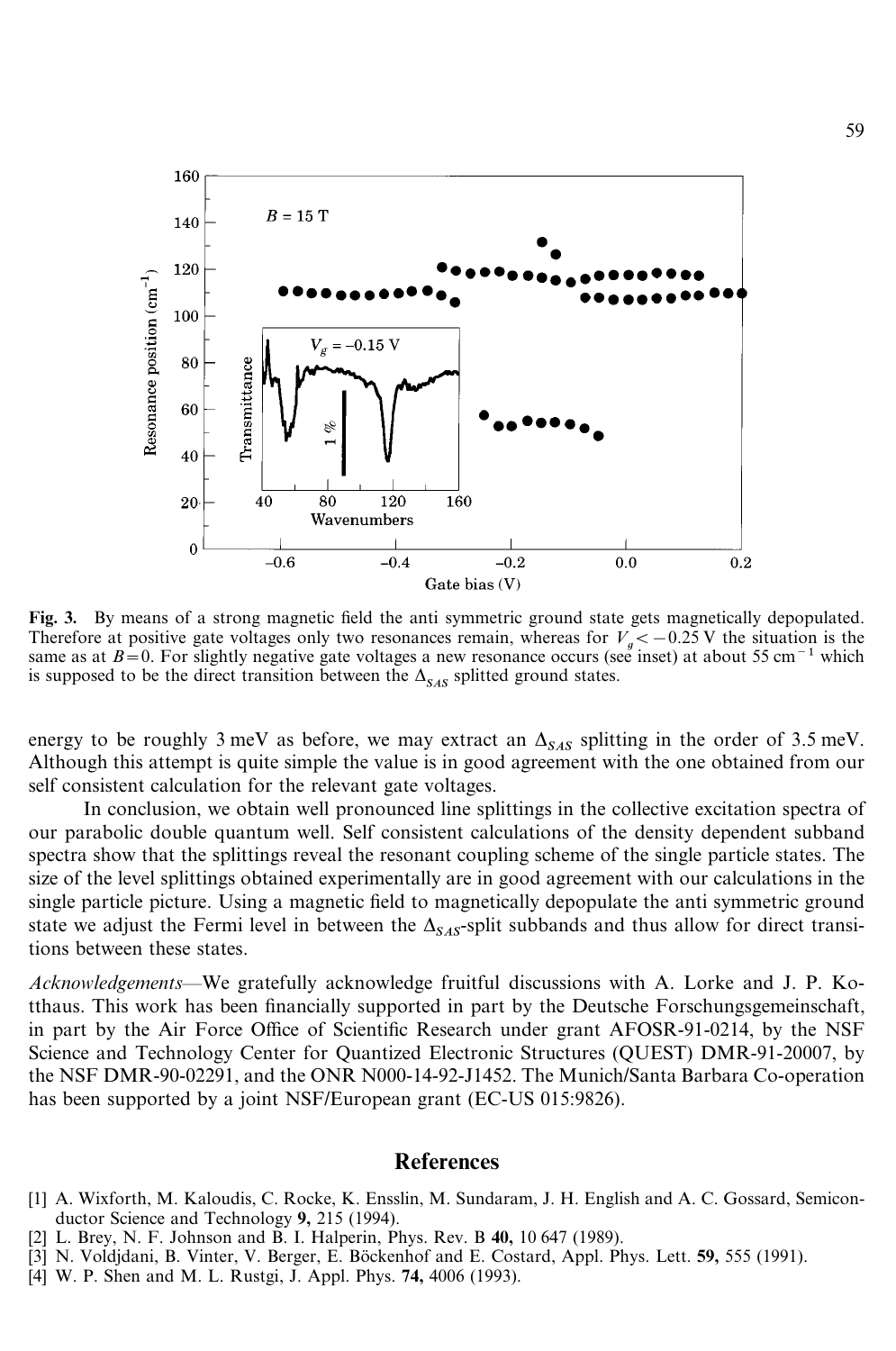

Fig. 3. By means of a strong magnetic field the anti symmetric ground state gets magnetically depopulated. Therefore at positive gate voltages only two resonances remain, whereas for  $V_a < -0.25$  V the situation is the same as at  $B=0$ . For slightly negative gate voltages a new resonance occurs (see inset) at about 55 cm<sup>-1</sup> which is supposed to be the direct transition between the  $\Delta_{SAS}$  splitted ground states.

energy to be roughly 3 meV as before, we may extract an  $\Delta_{SAS}$  splitting in the order of 3.5 meV. Although this attempt is quite simple the value is in good agreement with the one obtained from our self consistent calculation for the relevant gate voltages.

In conclusion, we obtain well pronounced line splittings in the collective excitation spectra of our parabolic double quantum well. Self consistent calculations of the density dependent subband spectra show that the splittings reveal the resonant coupling scheme of the single particle states. The size of the level splittings obtained experimentally are in good agreement with our calculations in the single particle picture. Using a magnetic field to magnetically depopulate the anti symmetric ground state we adjust the Fermi level in between the  $\Delta_{SAS}$ -split subbands and thus allow for direct transitions between these states.

*Acknowledgements—*We gratefully acknowledge fruitful discussions with A. Lorke and J. P. Kotthaus. This work has been financially supported in part by the Deutsche Forschungsgemeinschaft, in part by the Air Force Office of Scientific Research under grant AFOSR-91-0214, by the NSF Science and Technology Center for Quantized Electronic Structures (QUEST) DMR-91-20007, by the NSF DMR-90-02291, and the ONR N000-14-92-J1452. The Munich/Santa Barbara Co-operation has been supported by a joint NSF/European grant (EC-US 015:9826).

## References

- [1] A. Wixforth, M. Kaloudis, C. Rocke, K. Ensslin, M. Sundaram, J. H. English and A. C. Gossard, Semiconductor Science and Technology 9, 215 (1994).
- [2] L. Brey, N. F. Johnson and B. I. Halperin, Phys. Rev. B 40, 10 647 (1989).
- [3] N. Voldjdani, B. Vinter, V. Berger, E. Böckenhof and E. Costard, Appl. Phys. Lett. 59, 555 (1991).
- [4] W. P. Shen and M. L. Rustgi, J. Appl. Phys. 74, 4006 (1993).